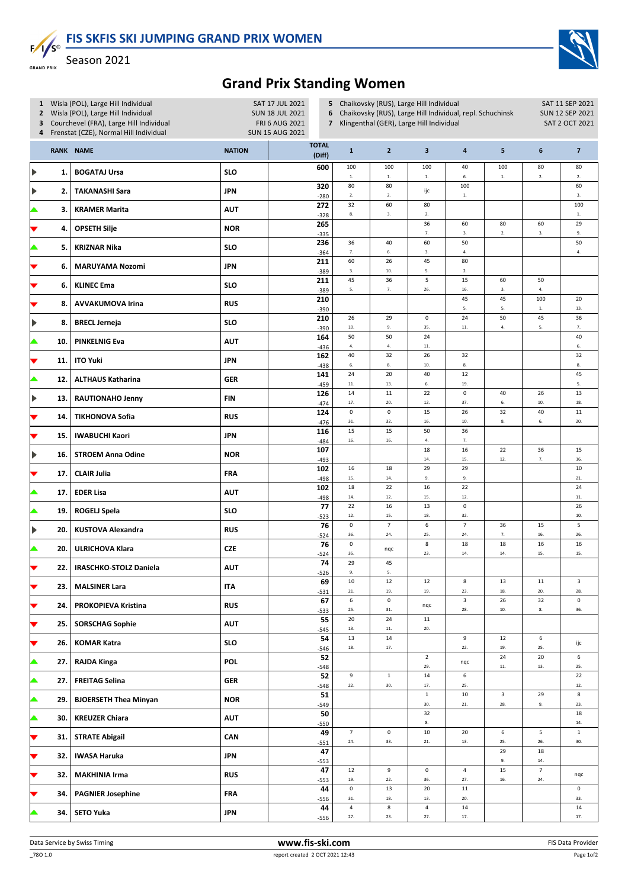FIS SKFIS SKI JUMPING GRAND PRIX WOMEN



 $F/I/S^{\circ}$ Season 2021 **GRAND PRIX** 

## Grand Prix Standing Women

| 1 Wisla (POL), Large Hill Individual<br>2 Wisla (POL), Large Hill Individual<br>Courchevel (FRA), Large Hill Individual<br>3<br>4 Frenstat (CZE), Normal Hill Individual |                               |                   |                        | 5 Chaikovsky (RUS), Large Hill Individual<br>Chaikovsky (RUS), Large Hill Individual, repl. Schuchinsk<br>Klingenthal (GER), Large Hill Individual                                                                                                                                                                                                                                                                                   |                                                                                                                                                                                                                       |                                                                                                                                                                      |                                                                                                                                                         |                                                                                                                                                                 | SAT 11 SEP 2021<br><b>SUN 12 SEP 2021</b><br><b>SAT 2 OCT 2021</b>                               |                                                                                                             |
|--------------------------------------------------------------------------------------------------------------------------------------------------------------------------|-------------------------------|-------------------|------------------------|--------------------------------------------------------------------------------------------------------------------------------------------------------------------------------------------------------------------------------------------------------------------------------------------------------------------------------------------------------------------------------------------------------------------------------------|-----------------------------------------------------------------------------------------------------------------------------------------------------------------------------------------------------------------------|----------------------------------------------------------------------------------------------------------------------------------------------------------------------|---------------------------------------------------------------------------------------------------------------------------------------------------------|-----------------------------------------------------------------------------------------------------------------------------------------------------------------|--------------------------------------------------------------------------------------------------|-------------------------------------------------------------------------------------------------------------|
|                                                                                                                                                                          |                               | <b>NATION</b>     | <b>TOTAL</b><br>(Diff) | $\mathbf{1}$                                                                                                                                                                                                                                                                                                                                                                                                                         | $\overline{\mathbf{2}}$                                                                                                                                                                                               | $\mathbf{3}$                                                                                                                                                         | $\pmb{4}$                                                                                                                                               | 5                                                                                                                                                               | $\boldsymbol{6}$                                                                                 | $\overline{7}$                                                                                              |
| 1.                                                                                                                                                                       | <b>BOGATAJ Ursa</b>           | <b>SLO</b>        | 600                    | 100                                                                                                                                                                                                                                                                                                                                                                                                                                  | 100                                                                                                                                                                                                                   | 100                                                                                                                                                                  | 40                                                                                                                                                      | 100                                                                                                                                                             | 80                                                                                               | 80<br>$2. \,$                                                                                               |
| 2.                                                                                                                                                                       | <b>TAKANASHI Sara</b>         | <b>JPN</b>        | 320                    | 80                                                                                                                                                                                                                                                                                                                                                                                                                                   | 80                                                                                                                                                                                                                    | ijc                                                                                                                                                                  | 100                                                                                                                                                     |                                                                                                                                                                 |                                                                                                  | 60<br>3.                                                                                                    |
| 3.                                                                                                                                                                       | <b>KRAMER Marita</b>          | <b>AUT</b>        | 272                    | 32                                                                                                                                                                                                                                                                                                                                                                                                                                   | 60                                                                                                                                                                                                                    | 80                                                                                                                                                                   |                                                                                                                                                         |                                                                                                                                                                 |                                                                                                  | 100<br>$\mathbf{1}.$                                                                                        |
| 4.                                                                                                                                                                       | <b>OPSETH Silje</b>           | <b>NOR</b>        | 265                    |                                                                                                                                                                                                                                                                                                                                                                                                                                      |                                                                                                                                                                                                                       | 36                                                                                                                                                                   | 60                                                                                                                                                      | 80                                                                                                                                                              | 60                                                                                               | 29<br>9.                                                                                                    |
| 5.                                                                                                                                                                       | <b>KRIZNAR Nika</b>           | <b>SLO</b>        | 236                    | 36                                                                                                                                                                                                                                                                                                                                                                                                                                   | 40                                                                                                                                                                                                                    | 60                                                                                                                                                                   | 50                                                                                                                                                      |                                                                                                                                                                 |                                                                                                  | 50<br>$\bf 4.$                                                                                              |
| 6.                                                                                                                                                                       | <b>MARUYAMA Nozomi</b>        | <b>JPN</b>        | 211                    | 60                                                                                                                                                                                                                                                                                                                                                                                                                                   | 26                                                                                                                                                                                                                    | 45                                                                                                                                                                   | 80                                                                                                                                                      |                                                                                                                                                                 |                                                                                                  |                                                                                                             |
| 6.                                                                                                                                                                       | <b>KLINEC Ema</b>             | <b>SLO</b>        | 211                    | 45                                                                                                                                                                                                                                                                                                                                                                                                                                   | 36                                                                                                                                                                                                                    | 5                                                                                                                                                                    | 15                                                                                                                                                      | 60                                                                                                                                                              | 50                                                                                               |                                                                                                             |
| 8.                                                                                                                                                                       | <b>AVVAKUMOVA Irina</b>       | <b>RUS</b>        | 210                    |                                                                                                                                                                                                                                                                                                                                                                                                                                      |                                                                                                                                                                                                                       |                                                                                                                                                                      | 45                                                                                                                                                      | 45                                                                                                                                                              | 100                                                                                              | 20                                                                                                          |
| 8.                                                                                                                                                                       | <b>BRECL Jerneja</b>          | <b>SLO</b>        | 210                    | 26                                                                                                                                                                                                                                                                                                                                                                                                                                   | 29                                                                                                                                                                                                                    | $\pmb{0}$                                                                                                                                                            | 24                                                                                                                                                      | 50                                                                                                                                                              | 45                                                                                               | 13.<br>36                                                                                                   |
| 10.                                                                                                                                                                      | <b>PINKELNIG Eva</b>          | <b>AUT</b>        | 164                    | 50                                                                                                                                                                                                                                                                                                                                                                                                                                   | 50                                                                                                                                                                                                                    | 24                                                                                                                                                                   |                                                                                                                                                         |                                                                                                                                                                 |                                                                                                  | 7.<br>40<br>6.                                                                                              |
| 11.                                                                                                                                                                      | <b>ITO Yuki</b>               | <b>JPN</b>        | 162                    | 40                                                                                                                                                                                                                                                                                                                                                                                                                                   | 32                                                                                                                                                                                                                    | 26                                                                                                                                                                   | 32                                                                                                                                                      |                                                                                                                                                                 |                                                                                                  | 32<br>$\bf 8.$                                                                                              |
| 12.                                                                                                                                                                      | <b>ALTHAUS Katharina</b>      | <b>GER</b>        | 141                    | 24                                                                                                                                                                                                                                                                                                                                                                                                                                   | 20                                                                                                                                                                                                                    | 40                                                                                                                                                                   | $12\,$                                                                                                                                                  |                                                                                                                                                                 |                                                                                                  | 45<br>5.                                                                                                    |
| 13.                                                                                                                                                                      | <b>RAUTIONAHO Jenny</b>       | <b>FIN</b>        | 126                    | 14                                                                                                                                                                                                                                                                                                                                                                                                                                   | $11\,$                                                                                                                                                                                                                | 22                                                                                                                                                                   | $\pmb{0}$                                                                                                                                               | 40                                                                                                                                                              | 26                                                                                               | 13<br>18.                                                                                                   |
| 14.                                                                                                                                                                      | <b>TIKHONOVA Sofia</b>        | <b>RUS</b>        | 124                    | $\pmb{0}$                                                                                                                                                                                                                                                                                                                                                                                                                            | $\pmb{0}$                                                                                                                                                                                                             | 15                                                                                                                                                                   | 26                                                                                                                                                      | 32                                                                                                                                                              | 40                                                                                               | 11<br>20.                                                                                                   |
| 15.                                                                                                                                                                      | <b>IWABUCHI Kaori</b>         | <b>JPN</b>        | 116                    | 15                                                                                                                                                                                                                                                                                                                                                                                                                                   | 15                                                                                                                                                                                                                    | 50                                                                                                                                                                   | 36                                                                                                                                                      |                                                                                                                                                                 |                                                                                                  |                                                                                                             |
| 16.                                                                                                                                                                      | <b>STROEM Anna Odine</b>      | <b>NOR</b>        | 107                    |                                                                                                                                                                                                                                                                                                                                                                                                                                      |                                                                                                                                                                                                                       | 18                                                                                                                                                                   | 16                                                                                                                                                      | 22                                                                                                                                                              | 36                                                                                               | 15<br>16.                                                                                                   |
| 17.                                                                                                                                                                      | <b>CLAIR Julia</b>            | FRA               | 102                    | 16                                                                                                                                                                                                                                                                                                                                                                                                                                   | 18                                                                                                                                                                                                                    | 29                                                                                                                                                                   | 29                                                                                                                                                      |                                                                                                                                                                 |                                                                                                  | 10<br>21.                                                                                                   |
| 17.                                                                                                                                                                      | <b>EDER Lisa</b>              | <b>AUT</b>        | 102                    | 18                                                                                                                                                                                                                                                                                                                                                                                                                                   | 22                                                                                                                                                                                                                    | 16                                                                                                                                                                   | 22                                                                                                                                                      |                                                                                                                                                                 |                                                                                                  | 24<br>11.                                                                                                   |
| 19.                                                                                                                                                                      | <b>ROGELJ Spela</b>           | <b>SLO</b>        | 77                     | 22                                                                                                                                                                                                                                                                                                                                                                                                                                   | 16                                                                                                                                                                                                                    | 13                                                                                                                                                                   | $\pmb{0}$                                                                                                                                               |                                                                                                                                                                 |                                                                                                  | 26<br>10.                                                                                                   |
| 20.                                                                                                                                                                      | <b>KUSTOVA Alexandra</b>      | <b>RUS</b>        | 76                     | $\pmb{0}$                                                                                                                                                                                                                                                                                                                                                                                                                            | $\overline{7}$                                                                                                                                                                                                        | $\boldsymbol{6}$                                                                                                                                                     | $\overline{7}$                                                                                                                                          | 36                                                                                                                                                              | 15                                                                                               | 5<br>26.                                                                                                    |
| 20.                                                                                                                                                                      | <b>ULRICHOVA Klara</b>        | CZE               | 76                     | $\pmb{0}$                                                                                                                                                                                                                                                                                                                                                                                                                            | nqc                                                                                                                                                                                                                   | $\bf 8$                                                                                                                                                              | 18                                                                                                                                                      | 18                                                                                                                                                              | 16                                                                                               | 16<br>15.                                                                                                   |
|                                                                                                                                                                          | <b>IRASCHKO-STOLZ Daniela</b> | <b>AUT</b>        | 74                     | 29                                                                                                                                                                                                                                                                                                                                                                                                                                   | 45                                                                                                                                                                                                                    |                                                                                                                                                                      |                                                                                                                                                         |                                                                                                                                                                 |                                                                                                  |                                                                                                             |
| 23.                                                                                                                                                                      | <b>MALSINER Lara</b>          | <b>ITA</b>        | 69                     | 10                                                                                                                                                                                                                                                                                                                                                                                                                                   | 12                                                                                                                                                                                                                    | 12                                                                                                                                                                   | $\bf8$                                                                                                                                                  | 13                                                                                                                                                              | 11                                                                                               | 3<br>28.                                                                                                    |
| 24.                                                                                                                                                                      | <b>PROKOPIEVA Kristina</b>    | <b>RUS</b>        | 67                     | $\boldsymbol{6}$                                                                                                                                                                                                                                                                                                                                                                                                                     | $\pmb{0}$                                                                                                                                                                                                             | nqc                                                                                                                                                                  | 3                                                                                                                                                       | 26                                                                                                                                                              | 32                                                                                               | $\mathsf{O}\xspace$<br>36.                                                                                  |
| 25.                                                                                                                                                                      | <b>SORSCHAG Sophie</b>        | <b>AUT</b>        | 55                     | 20                                                                                                                                                                                                                                                                                                                                                                                                                                   | 24                                                                                                                                                                                                                    | $11\,$                                                                                                                                                               |                                                                                                                                                         |                                                                                                                                                                 |                                                                                                  |                                                                                                             |
| 26.                                                                                                                                                                      | <b>KOMAR Katra</b>            | SLO               | 54                     | 13                                                                                                                                                                                                                                                                                                                                                                                                                                   | 14                                                                                                                                                                                                                    |                                                                                                                                                                      | 9                                                                                                                                                       | 12                                                                                                                                                              | 6                                                                                                | ijc                                                                                                         |
| 27.                                                                                                                                                                      | <b>RAJDA Kinga</b>            | <b>POL</b>        | 52                     |                                                                                                                                                                                                                                                                                                                                                                                                                                      |                                                                                                                                                                                                                       | $\overline{2}$<br>29.                                                                                                                                                | nqc                                                                                                                                                     | 24<br>$11. \,$                                                                                                                                                  | 20<br>13.                                                                                        | 6<br>25.                                                                                                    |
| 27.                                                                                                                                                                      | <b>FREITAG Selina</b>         | GER               | 52                     | 9                                                                                                                                                                                                                                                                                                                                                                                                                                    | $1\,$<br>30.                                                                                                                                                                                                          | 14<br>17.                                                                                                                                                            | 6<br>25.                                                                                                                                                |                                                                                                                                                                 |                                                                                                  | 22<br>12.                                                                                                   |
| 29.                                                                                                                                                                      | <b>BJOERSETH Thea Minyan</b>  | <b>NOR</b>        | 51                     |                                                                                                                                                                                                                                                                                                                                                                                                                                      |                                                                                                                                                                                                                       | $\mathbf{1}$<br>30.                                                                                                                                                  | 10<br>${\bf 21}.$                                                                                                                                       | 3<br>28.                                                                                                                                                        | 29<br>9.                                                                                         | 8<br>23.                                                                                                    |
| 30.                                                                                                                                                                      | <b>KREUZER Chiara</b>         | <b>AUT</b>        | 50                     |                                                                                                                                                                                                                                                                                                                                                                                                                                      |                                                                                                                                                                                                                       | 32<br>$\bf 8.$                                                                                                                                                       |                                                                                                                                                         |                                                                                                                                                                 |                                                                                                  | 18<br>14.                                                                                                   |
| 31.                                                                                                                                                                      | <b>STRATE Abigail</b>         | CAN               | 49                     | $\overline{7}$<br>$24.$                                                                                                                                                                                                                                                                                                                                                                                                              | $\mathsf 0$<br>33.                                                                                                                                                                                                    | $10\,$<br>21.                                                                                                                                                        | 20<br>$13. \,$                                                                                                                                          | $\boldsymbol{6}$<br>25.                                                                                                                                         | $\overline{\phantom{a}}$<br>26.                                                                  | $1\,$<br>30.                                                                                                |
| 32.                                                                                                                                                                      | <b>IWASA Haruka</b>           | <b>JPN</b>        | 47                     |                                                                                                                                                                                                                                                                                                                                                                                                                                      |                                                                                                                                                                                                                       |                                                                                                                                                                      |                                                                                                                                                         | 29<br>9.                                                                                                                                                        | 18<br>14.                                                                                        |                                                                                                             |
| 32.                                                                                                                                                                      | <b>MAKHINIA Irma</b>          | <b>RUS</b>        | 47                     | 12<br>19.                                                                                                                                                                                                                                                                                                                                                                                                                            | 9<br>22.                                                                                                                                                                                                              | $\pmb{0}$<br>36.                                                                                                                                                     | $\overline{4}$<br>27.                                                                                                                                   | 15<br>$16.$                                                                                                                                                     | $\overline{7}$<br>24.                                                                            | nqc                                                                                                         |
| 34.                                                                                                                                                                      | <b>PAGNIER Josephine</b>      | FRA               | 44                     | $\mathsf 0$<br>31.                                                                                                                                                                                                                                                                                                                                                                                                                   | 13<br>$18. \,$                                                                                                                                                                                                        | 20<br>13.                                                                                                                                                            | $11\,$<br>20.                                                                                                                                           |                                                                                                                                                                 |                                                                                                  | $\mathsf 0$<br>33.                                                                                          |
| 34.                                                                                                                                                                      | <b>SETO Yuka</b>              | <b>JPN</b>        | 44<br>$-556$           | $\overline{a}$<br>27.                                                                                                                                                                                                                                                                                                                                                                                                                | 8<br>23.                                                                                                                                                                                                              | $\overline{a}$<br>27.                                                                                                                                                | 14<br>$17. \,$                                                                                                                                          |                                                                                                                                                                 |                                                                                                  | 14<br>17.                                                                                                   |
|                                                                                                                                                                          |                               | RANK NAME<br>22.1 |                        | SAT 17 JUL 2021<br><b>SUN 18 JUL 2021</b><br><b>FRI 6 AUG 2021</b><br><b>SUN 15 AUG 2021</b><br>$-280$<br>$-328$<br>$-335$<br>$-364$<br>$-389$<br>$-389$<br>$-390$<br>$-390$<br>$-436$<br>$-438$<br>$-459$<br>$-474$<br>$-476$<br>$-484$<br>$-493$<br>$-498$<br>$-498$<br>$-523$<br>$-524$<br>$-524$<br>-526<br>$-531$<br>$-533$<br>$-545$<br>$-546$<br>$-548$<br>$-548$<br>$-549$<br>$-550$<br>$-551$<br>$-553$<br>$-553$<br>$-556$ | 6<br>7<br>$1\!\!$<br>$2. \,$<br>$\bf 8.$<br>7.<br>3.<br>5.<br>$10.$<br>4.<br>6.<br>$\bf 11.$<br>$17. \,$<br>31.<br>$16. \,$<br>15.<br>14.<br>$12.$<br>36.<br>35.<br>9.<br>$21. \,$<br>25.<br>13.<br>$18. \,$<br>$22.$ | $1\cdot$<br>2.<br>3.<br>6.<br>$10.$<br>$7. \,$<br>9.<br>4.<br>$\bf 8.$<br>13.<br>20.<br>32.<br>16.<br>14.<br>12.<br>15.<br>24.<br>19.<br>31.<br>$11. \,$<br>$17. \,$ | $1\!\!$<br>$2. \,$<br>7.<br>3.<br>5.<br>26.<br>35.<br>$11.$<br>$10.$<br>6.<br>12.<br>16.<br>4.<br>14.<br>9.<br>15.<br>18.<br>25.<br>23.<br>19.<br>$20.$ | 6.<br>$1. \,$<br>3.<br>4.<br>2.<br>16.<br>5.<br>$11.$<br>$\bf 8.$<br>19.<br>37.<br>10.<br>7.<br>15.<br>9.<br>12.<br>32.<br>24.<br>$14. \,$<br>23.<br>28.<br>22. | $1. \,$<br>$2. \,$<br>3.<br>5.<br>4.<br>6.<br>8.<br>12.<br>$7. \,$<br>14.<br>18.<br>$10.$<br>19. | $2. \,$<br>3.<br>$\overline{4}$<br>$\mathbf{1}.$<br>5.<br>10.<br>6.<br>7.<br>16.<br>15.<br>20.<br>8.<br>25. |